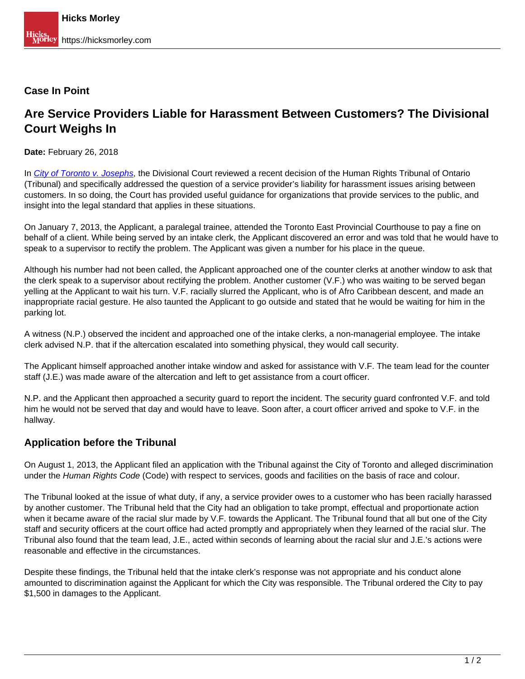### **Case In Point**

# **Are Service Providers Liable for Harassment Between Customers? The Divisional Court Weighs In**

**Date:** February 26, 2018

In [City of Toronto v. Josephs](https://www.canlii.org/en/on/onscdc/doc/2018/2018onsc67/2018onsc67.html), the Divisional Court reviewed a recent decision of the Human Rights Tribunal of Ontario (Tribunal) and specifically addressed the question of a service provider's liability for harassment issues arising between customers. In so doing, the Court has provided useful guidance for organizations that provide services to the public, and insight into the legal standard that applies in these situations.

On January 7, 2013, the Applicant, a paralegal trainee, attended the Toronto East Provincial Courthouse to pay a fine on behalf of a client. While being served by an intake clerk, the Applicant discovered an error and was told that he would have to speak to a supervisor to rectify the problem. The Applicant was given a number for his place in the queue.

Although his number had not been called, the Applicant approached one of the counter clerks at another window to ask that the clerk speak to a supervisor about rectifying the problem. Another customer (V.F.) who was waiting to be served began yelling at the Applicant to wait his turn. V.F. racially slurred the Applicant, who is of Afro Caribbean descent, and made an inappropriate racial gesture. He also taunted the Applicant to go outside and stated that he would be waiting for him in the parking lot.

A witness (N.P.) observed the incident and approached one of the intake clerks, a non-managerial employee. The intake clerk advised N.P. that if the altercation escalated into something physical, they would call security.

The Applicant himself approached another intake window and asked for assistance with V.F. The team lead for the counter staff (J.E.) was made aware of the altercation and left to get assistance from a court officer.

N.P. and the Applicant then approached a security guard to report the incident. The security guard confronted V.F. and told him he would not be served that day and would have to leave. Soon after, a court officer arrived and spoke to V.F. in the hallway.

# **Application before the Tribunal**

On August 1, 2013, the Applicant filed an application with the Tribunal against the City of Toronto and alleged discrimination under the Human Rights Code (Code) with respect to services, goods and facilities on the basis of race and colour.

The Tribunal looked at the issue of what duty, if any, a service provider owes to a customer who has been racially harassed by another customer. The Tribunal held that the City had an obligation to take prompt, effectual and proportionate action when it became aware of the racial slur made by V.F. towards the Applicant. The Tribunal found that all but one of the City staff and security officers at the court office had acted promptly and appropriately when they learned of the racial slur. The Tribunal also found that the team lead, J.E., acted within seconds of learning about the racial slur and J.E.'s actions were reasonable and effective in the circumstances.

Despite these findings, the Tribunal held that the intake clerk's response was not appropriate and his conduct alone amounted to discrimination against the Applicant for which the City was responsible. The Tribunal ordered the City to pay \$1,500 in damages to the Applicant.